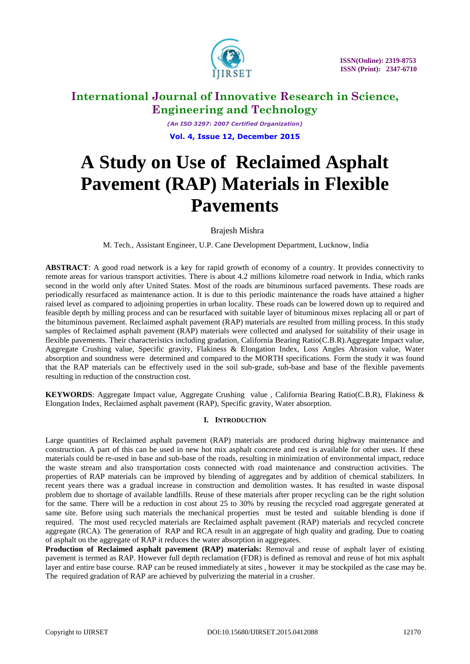

*(An ISO 3297: 2007 Certified Organization)* **Vol. 4, Issue 12, December 2015**

# **A Study on Use of Reclaimed Asphalt Pavement (RAP) Materials in Flexible Pavements**

Brajesh Mishra

M. Tech., Assistant Engineer, U.P. Cane Development Department, Lucknow, India

**ABSTRACT**: A good road network is a key for rapid growth of economy of a country. It provides connectivity to remote areas for various transport activities. There is about 4.2 millions kilometre road network in India, which ranks second in the world only after United States. Most of the roads are bituminous surfaced pavements. These roads are periodically resurfaced as maintenance action. It is due to this periodic maintenance the roads have attained a higher raised level as compared to adjoining properties in urban locality. These roads can be lowered down up to required and feasible depth by milling process and can be resurfaced with suitable layer of bituminous mixes replacing all or part of the bituminous pavement. Reclaimed asphalt pavement (RAP) materials are resulted from milling process. In this study samples of Reclaimed asphalt pavement (RAP) materials were collected and analysed for suitability of their usage in flexible pavements. Their characteristics including gradation, California Bearing Ratio(C.B.R).Aggregate Impact value, Aggregate Crushing value, Specific gravity, Flakiness & Elongation Index, Loss Angles Abrasion value, Water absorption and soundness were determined and compared to the MORTH specifications. Form the study it was found that the RAP materials can be effectively used in the soil sub-grade, sub-base and base of the flexible pavements resulting in reduction of the construction cost.

**KEYWORDS**: Aggregate Impact value, Aggregate Crushing value , California Bearing Ratio(C.B.R), Flakiness & Elongation Index, Reclaimed asphalt pavement (RAP), Specific gravity, Water absorption.

### **I. INTRODUCTION**

Large quantities of Reclaimed asphalt pavement (RAP) materials are produced during highway maintenance and construction. A part of this can be used in new hot mix asphalt concrete and rest is available for other uses. If these materials could be re-used in base and sub-base of the roads, resulting in minimization of environmental impact, reduce the waste stream and also transportation costs connected with road maintenance and construction activities. The properties of RAP materials can be improved by blending of aggregates and by addition of chemical stabilizers. In recent years there was a gradual increase in construction and demolition wastes. It has resulted in waste disposal problem due to shortage of available landfills. Reuse of these materials after proper recycling can be the right solution for the same. There will be a reduction in cost about 25 to 30% by reusing the recycled road aggregate generated at same site. Before using such materials the mechanical properties must be tested and suitable blending is done if required. The most used recycled materials are Reclaimed asphalt pavement (RAP) materials and recycled concrete aggregate (RCA). The generation of RAP and RCA result in an aggregate of high quality and grading. Due to coating of asphalt on the aggregate of RAP it reduces the water absorption in aggregates.

**Production of Reclaimed asphalt pavement (RAP) materials:** Removal and reuse of asphalt layer of existing pavement is termed as RAP. However full depth reclamation (FDR) is defined as removal and reuse of hot mix asphalt layer and entire base course. RAP can be reused immediately at sites , however it may be stockpiled as the case may be. The required gradation of RAP are achieved by pulverizing the material in a crusher.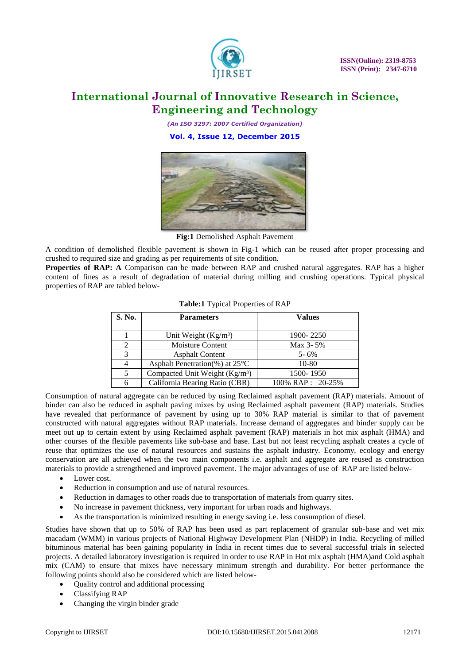

*(An ISO 3297: 2007 Certified Organization)* **Vol. 4, Issue 12, December 2015**



**Fig:1** Demolished Asphalt Pavement

A condition of demolished flexible pavement is shown in Fig-1 which can be reused after proper processing and crushed to required size and grading as per requirements of site condition.

**Properties of RAP: A** Comparison can be made between RAP and crushed natural aggregates. RAP has a higher content of fines as a result of degradation of material during milling and crushing operations. Typical physical properties of RAP are tabled below-

| S. No. | <b>Parameters</b>                          | <b>Values</b>    |  |  |  |
|--------|--------------------------------------------|------------------|--|--|--|
|        |                                            |                  |  |  |  |
|        | Unit Weight (Kg/m <sup>3</sup> )           | 1900-2250        |  |  |  |
|        | <b>Moisture Content</b>                    | Max 3-5%         |  |  |  |
| 3      | <b>Asphalt Content</b>                     | $5 - 6\%$        |  |  |  |
|        | Asphalt Penetration(%) at $25^{\circ}$ C   | $10-80$          |  |  |  |
| 5      | Compacted Unit Weight (Kg/m <sup>3</sup> ) | 1500-1950        |  |  |  |
|        | California Bearing Ratio (CBR)             | 100% RAP: 20-25% |  |  |  |

|  | Table:1 Typical Properties of RAP |  |
|--|-----------------------------------|--|
|  |                                   |  |

Consumption of natural aggregate can be reduced by using Reclaimed asphalt pavement (RAP) materials. Amount of binder can also be reduced in asphalt paving mixes by using Reclaimed asphalt pavement (RAP) materials. Studies have revealed that performance of pavement by using up to 30% RAP material is similar to that of pavement constructed with natural aggregates without RAP materials. Increase demand of aggregates and binder supply can be meet out up to certain extent by using Reclaimed asphalt pavement (RAP) materials in hot mix asphalt (HMA) and other courses of the flexible pavements like sub-base and base. Last but not least recycling asphalt creates a cycle of reuse that optimizes the use of natural resources and sustains the asphalt industry. Economy, ecology and energy conservation are all achieved when the two main components i.e. asphalt and aggregate are reused as construction materials to provide a strengthened and improved pavement. The major advantages of use of RAP are listed below-

- Lower cost.
- Reduction in consumption and use of natural resources.
- Reduction in damages to other roads due to transportation of materials from quarry sites.
- No increase in pavement thickness, very important for urban roads and highways.
- As the transportation is minimized resulting in energy saving i.e. less consumption of diesel.

Studies have shown that up to 50% of RAP has been used as part replacement of granular sub-base and wet mix macadam (WMM) in various projects of National Highway Development Plan (NHDP) in India. Recycling of milled bituminous material has been gaining popularity in India in recent times due to several successful trials in selected projects. A detailed laboratory investigation is required in order to use RAP in Hot mix asphalt (HMA)and Cold asphalt mix (CAM) to ensure that mixes have necessary minimum strength and durability. For better performance the following points should also be considered which are listed below-

- Quality control and additional processing
- Classifying RAP
- Changing the virgin binder grade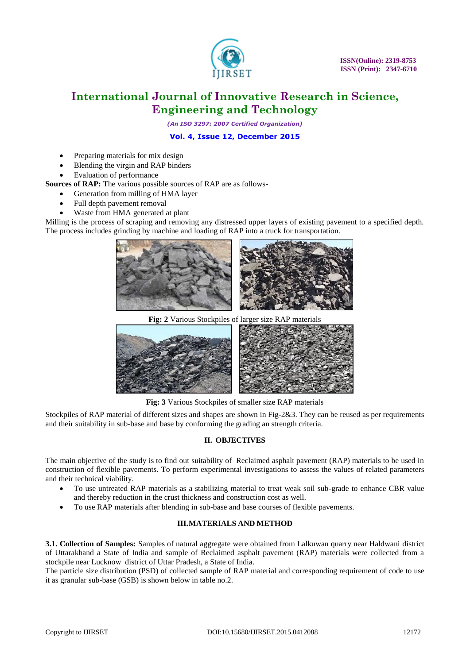

*(An ISO 3297: 2007 Certified Organization)*

### **Vol. 4, Issue 12, December 2015**

- Preparing materials for mix design
- Blending the virgin and RAP binders
- Evaluation of performance

### **Sources of RAP:** The various possible sources of RAP are as follows-

- Generation from milling of HMA layer
- Full depth pavement removal
- Waste from HMA generated at plant

Milling is the process of scraping and removing any distressed upper layers of existing pavement to a specified depth. The process includes grinding by machine and loading of RAP into a truck for transportation.



**Fig: 2** Various Stockpiles of larger size RAP materials



**Fig: 3** Various Stockpiles of smaller size RAP materials

Stockpiles of RAP material of different sizes and shapes are shown in Fig-2&3. They can be reused as per requirements and their suitability in sub-base and base by conforming the grading an strength criteria.

### **II. OBJECTIVES**

The main objective of the study is to find out suitability of Reclaimed asphalt pavement (RAP) materials to be used in construction of flexible pavements. To perform experimental investigations to assess the values of related parameters and their technical viability.

- To use untreated RAP materials as a stabilizing material to treat weak soil sub-grade to enhance CBR value and thereby reduction in the crust thickness and construction cost as well.
- To use RAP materials after blending in sub-base and base courses of flexible pavements.

### **III.MATERIALS AND METHOD**

**3.1. Collection of Samples:** Samples of natural aggregate were obtained from Lalkuwan quarry near Haldwani district of Uttarakhand a State of India and sample of Reclaimed asphalt pavement (RAP) materials were collected from a stockpile near Lucknow district of Uttar Pradesh, a State of India.

The particle size distribution (PSD) of collected sample of RAP material and corresponding requirement of code to use it as granular sub-base (GSB) is shown below in table no.2.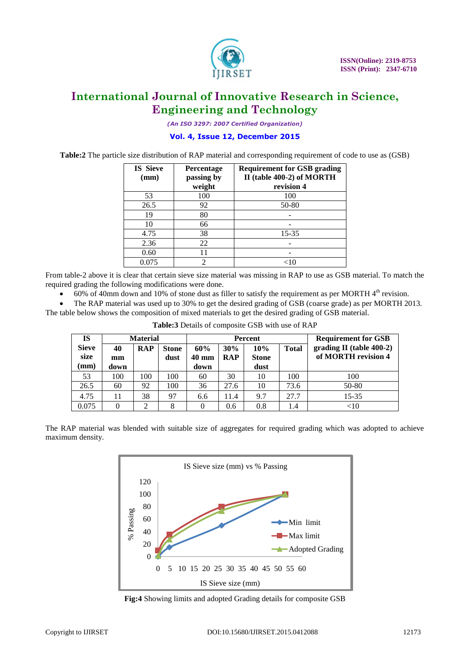

*(An ISO 3297: 2007 Certified Organization)*

#### **Vol. 4, Issue 12, December 2015**

**Table:2** The particle size distribution of RAP material and corresponding requirement of code to use as (GSB)

| <b>IS Sieve</b><br>(mm) | Percentage<br>passing by<br>weight | <b>Requirement for GSB grading</b><br>II (table 400-2) of MORTH<br>revision 4 |
|-------------------------|------------------------------------|-------------------------------------------------------------------------------|
| 53                      | 100                                | 100                                                                           |
| 26.5                    | 92                                 | 50-80                                                                         |
| 19                      | 80                                 |                                                                               |
| 10                      | 66                                 |                                                                               |
| 4.75                    | 38                                 | 15-35                                                                         |
| 2.36                    | 22                                 |                                                                               |
| 0.60                    | 11                                 |                                                                               |
| 0.075                   |                                    |                                                                               |

From table-2 above it is clear that certain sieve size material was missing in RAP to use as GSB material. To match the required grading the following modifications were done.

 $\bullet$  60% of 40mm down and 10% of stone dust as filler to satisfy the requirement as per MORTH 4<sup>th</sup> revision.

 The RAP material was used up to 30% to get the desired grading of GSB (coarse grade) as per MORTH 2013. The table below shows the composition of mixed materials to get the desired grading of GSB material.

| IS                           |                  | <b>Material</b> |                      |                                |                   | Percent                     | <b>Requirement for GSB</b> |                                                    |
|------------------------------|------------------|-----------------|----------------------|--------------------------------|-------------------|-----------------------------|----------------------------|----------------------------------------------------|
| <b>Sieve</b><br>size<br>(mm) | 40<br>mm<br>down | <b>RAP</b>      | <b>Stone</b><br>dust | 60%<br>$40 \text{ mm}$<br>down | 30%<br><b>RAP</b> | 10%<br><b>Stone</b><br>dust | <b>Total</b>               | grading II (table $400-2$ )<br>of MORTH revision 4 |
| 53                           | 100              | 100             | 100                  | 60                             | 30                | 10                          | 100                        | 100                                                |
| 26.5                         | 60               | 92              | 100                  | 36                             | 27.6              | 10                          | 73.6                       | 50-80                                              |
| 4.75                         | 11               | 38              | 97                   | 6.6                            | 11.4              | 9.7                         | 27.7                       | 15-35                                              |
| 0.075                        | 0                | ◠               | 8                    | $\Omega$                       | 0.6               | 0.8                         | 1.4                        | $< \! 10$                                          |

**Table:3** Details of composite GSB with use of RAP

The RAP material was blended with suitable size of aggregates for required grading which was adopted to achieve maximum density.



**Fig:4** Showing limits and adopted Grading details for composite GSB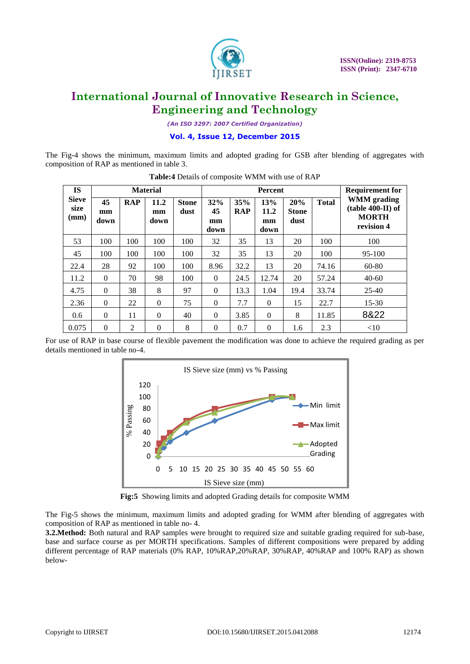

*(An ISO 3297: 2007 Certified Organization)*

**Vol. 4, Issue 12, December 2015**

The Fig-4 shows the minimum, maximum limits and adopted grading for GSB after blending of aggregates with composition of RAP as mentioned in table 3.

| <b>IS</b>                    |                  |            | <b>Material</b>    |                      |                         |                   | <b>Percent</b>            |                             |              | <b>Requirement for</b>                                                  |  |
|------------------------------|------------------|------------|--------------------|----------------------|-------------------------|-------------------|---------------------------|-----------------------------|--------------|-------------------------------------------------------------------------|--|
| <b>Sieve</b><br>size<br>(mm) | 45<br>mm<br>down | <b>RAP</b> | 11.2<br>mm<br>down | <b>Stone</b><br>dust | 32%<br>45<br>mm<br>down | 35%<br><b>RAP</b> | 13%<br>11.2<br>mm<br>down | 20%<br><b>Stone</b><br>dust | <b>Total</b> | <b>WMM</b> grading<br>$(table 400-II) of$<br><b>MORTH</b><br>revision 4 |  |
| 53                           | 100              | 100        | 100                | 100                  | 32                      | 35                | 13                        | 20                          | 100          | 100                                                                     |  |
| 45                           | 100              | 100        | 100                | 100                  | 32                      | 35                | 13                        | 20                          | 100          | $95-100$                                                                |  |
| 22.4                         | 28               | 92         | 100                | 100                  | 8.96                    | 32.2              | 13                        | 20                          | 74.16        | 60-80                                                                   |  |
| 11.2                         | $\Omega$         | 70         | 98                 | 100                  | $\theta$                | 24.5              | 12.74                     | 20                          | 57.24        | $40 - 60$                                                               |  |
| 4.75                         | $\Omega$         | 38         | 8                  | 97                   | $\theta$                | 13.3              | 1.04                      | 19.4                        | 33.74        | $25-40$                                                                 |  |
| 2.36                         | $\Omega$         | 22         | $\Omega$           | 75                   | $\theta$                | 7.7               | $\Omega$                  | 15                          | 22.7         | $15 - 30$                                                               |  |
| 0.6                          | $\theta$         | 11         | $\Omega$           | 40                   | $\theta$                | 3.85              | $\Omega$                  | 8                           | 11.85        | 8&22                                                                    |  |
| 0.075                        | $\theta$         | 2          | $\Omega$           | 8                    | $\theta$                | 0.7               | $\Omega$                  | 1.6                         | 2.3          | <10                                                                     |  |

**Table:4** Details of composite WMM with use of RAP

For use of RAP in base course of flexible pavement the modification was done to achieve the required grading as per details mentioned in table no-4.



**Fig:5** Showing limits and adopted Grading details for composite WMM

The Fig-5 shows the minimum, maximum limits and adopted grading for WMM after blending of aggregates with composition of RAP as mentioned in table no- 4.

**3.2.Method:** Both natural and RAP samples were brought to required size and suitable grading required for sub-base, base and surface course as per MORTH specifications. Samples of different compositions were prepared by adding different percentage of RAP materials (0% RAP, 10%RAP,20%RAP, 30%RAP, 40%RAP and 100% RAP) as shown below-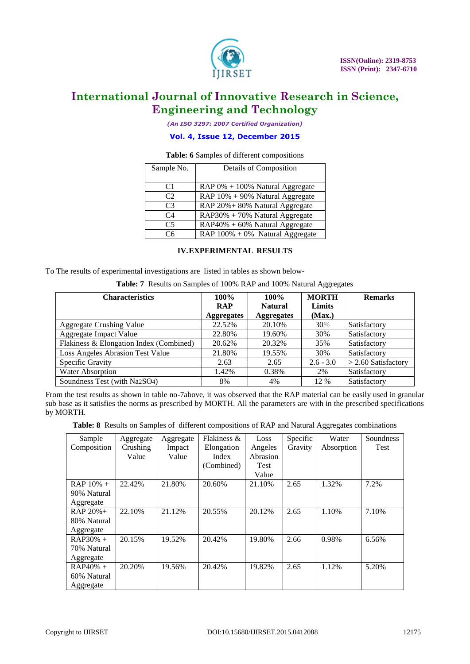

*(An ISO 3297: 2007 Certified Organization)*

### **Vol. 4, Issue 12, December 2015**

#### **Table: 6** Samples of different compositions

| Sample No.     | Details of Composition              |
|----------------|-------------------------------------|
| C <sub>1</sub> | RAP 0% + 100% Natural Aggregate     |
| C2             | RAP $10\% + 90\%$ Natural Aggregate |
| C <sub>3</sub> | RAP 20% + 80% Natural Aggregate     |
| C <sub>4</sub> | RAP30% + 70% Natural Aggregate      |
| C <sub>5</sub> | RAP40% + 60% Natural Aggregate      |
| ۲6             | RAP $100\% + 0\%$ Natural Aggregate |

#### **IV.EXPERIMENTAL RESULTS**

To The results of experimental investigations are listed in tables as shown below-

**Table: 7** Results on Samples of 100% RAP and 100% Natural Aggregates

| <b>Characteristics</b>                  | $100\%$<br><b>RAP</b><br><b>Aggregates</b> | $100\%$<br><b>Natural</b><br><b>Aggregates</b> | <b>MORTH</b><br>Limits<br>(Max.) | <b>Remarks</b>        |
|-----------------------------------------|--------------------------------------------|------------------------------------------------|----------------------------------|-----------------------|
| <b>Aggregate Crushing Value</b>         | 22.52%                                     | 20.10%                                         | 30%                              | Satisfactory          |
| Aggregate Impact Value                  | 22.80%                                     | 19.60%                                         | 30%                              | Satisfactory          |
| Flakiness & Elongation Index (Combined) | 20.62%                                     | 20.32%                                         | 35%                              | Satisfactory          |
| Loss Angeles Abrasion Test Value        | 21.80%                                     | 19.55%                                         | 30%                              | Satisfactory          |
| Specific Gravity                        | 2.63                                       | 2.65                                           | $2.6 - 3.0$                      | $>$ 2.60 Satisfactory |
| <b>Water Absorption</b>                 | 1.42%                                      | 0.38%                                          | 2%                               | Satisfactory          |
| Soundness Test (with Na2SO4)            | 8%                                         | 4%                                             | 12 %                             | Satisfactory          |

From the test results as shown in table no-7above, it was observed that the RAP material can be easily used in granular sub base as it satisfies the norms as prescribed by MORTH. All the parameters are with in the prescribed specifications by MORTH.

**Table: 8** Results on Samples of different compositions of RAP and Natural Aggregates combinations

| Sample      | Aggregate | Aggregate | Flakiness $\&$ | Loss     | Specific | Water      | Soundness |
|-------------|-----------|-----------|----------------|----------|----------|------------|-----------|
| Composition | Crushing  | Impact    | Elongation     | Angeles  | Gravity  | Absorption | Test      |
|             | Value     | Value     | Index          | Abrasion |          |            |           |
|             |           |           | (Combined)     | Test     |          |            |           |
|             |           |           |                | Value    |          |            |           |
| $RAP 10% +$ | 22.42%    | 21.80%    | 20.60%         | 21.10%   | 2.65     | 1.32%      | 7.2%      |
| 90% Natural |           |           |                |          |          |            |           |
| Aggregate   |           |           |                |          |          |            |           |
| $RAP 20% +$ | 22.10%    | 21.12%    | 20.55%         | 20.12%   | 2.65     | 1.10%      | 7.10%     |
| 80% Natural |           |           |                |          |          |            |           |
| Aggregate   |           |           |                |          |          |            |           |
| $RAP30% +$  | 20.15%    | 19.52%    | 20.42%         | 19.80%   | 2.66     | 0.98%      | 6.56%     |
| 70% Natural |           |           |                |          |          |            |           |
| Aggregate   |           |           |                |          |          |            |           |
| $RAP40% +$  | 20.20%    | 19.56%    | 20.42%         | 19.82%   | 2.65     | 1.12%      | 5.20%     |
| 60% Natural |           |           |                |          |          |            |           |
| Aggregate   |           |           |                |          |          |            |           |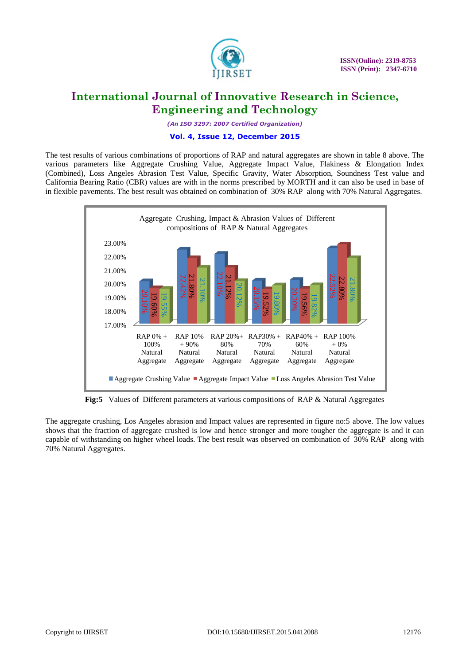

*(An ISO 3297: 2007 Certified Organization)*

#### **Vol. 4, Issue 12, December 2015**

The test results of various combinations of proportions of RAP and natural aggregates are shown in table 8 above. The various parameters like Aggregate Crushing Value, Aggregate Impact Value, Flakiness & Elongation Index (Combined), Loss Angeles Abrasion Test Value, Specific Gravity, Water Absorption, Soundness Test value and California Bearing Ratio (CBR) values are with in the norms prescribed by MORTH and it can also be used in base of in flexible pavements. The best result was obtained on combination of 30% RAP along with 70% Natural Aggregates.



**Fig:5** Values of Different parameters at various compositions of RAP & Natural Aggregates

The aggregate crushing, Los Angeles abrasion and Impact values are represented in figure no:5 above. The low values shows that the fraction of aggregate crushed is low and hence stronger and more tougher the aggregate is and it can capable of withstanding on higher wheel loads. The best result was observed on combination of 30% RAP along with 70% Natural Aggregates.